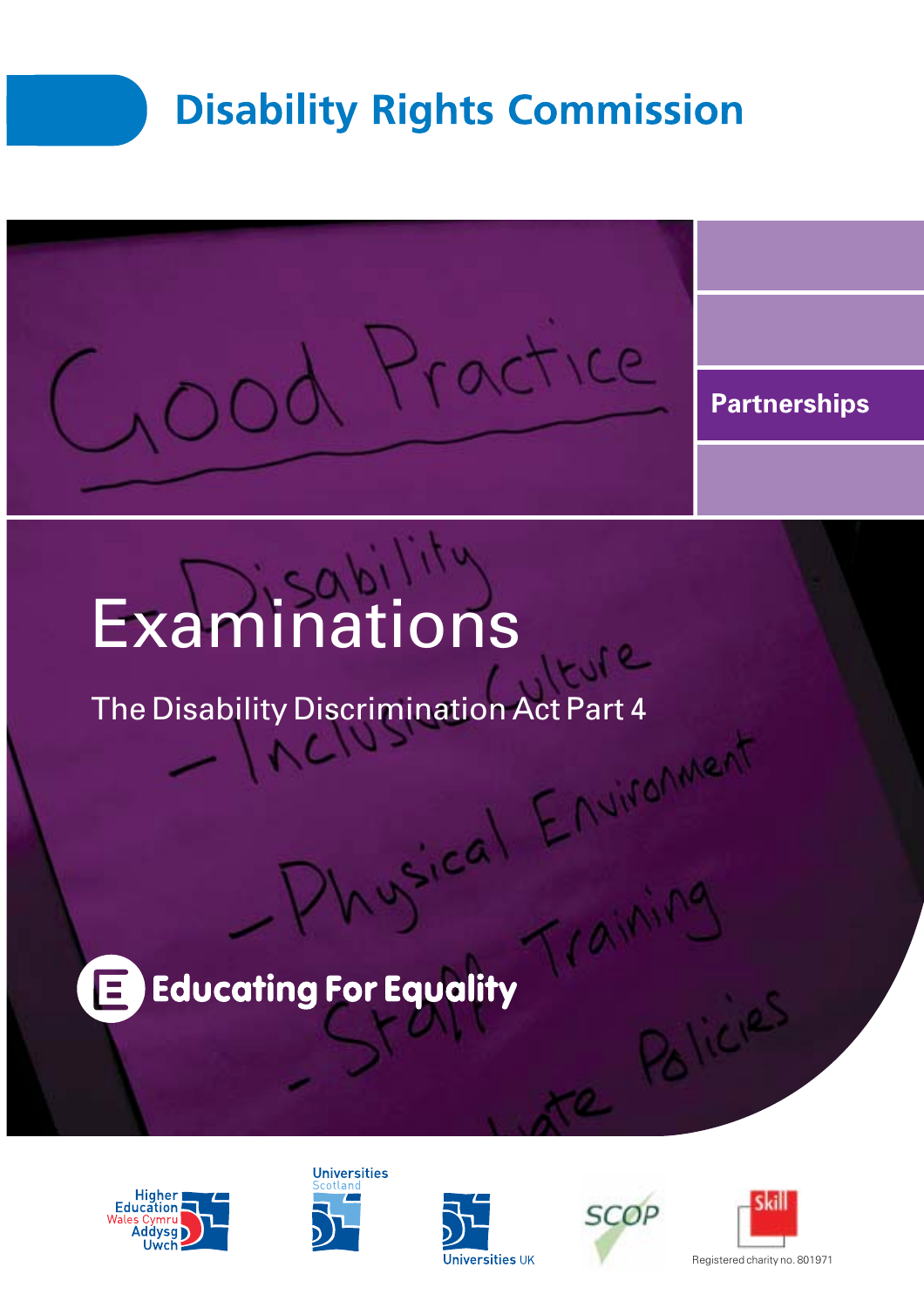



# Examinations

The Disability Discrimination Act Part 4

## **Educating For Equality** E









Train



Registered charity no. 801971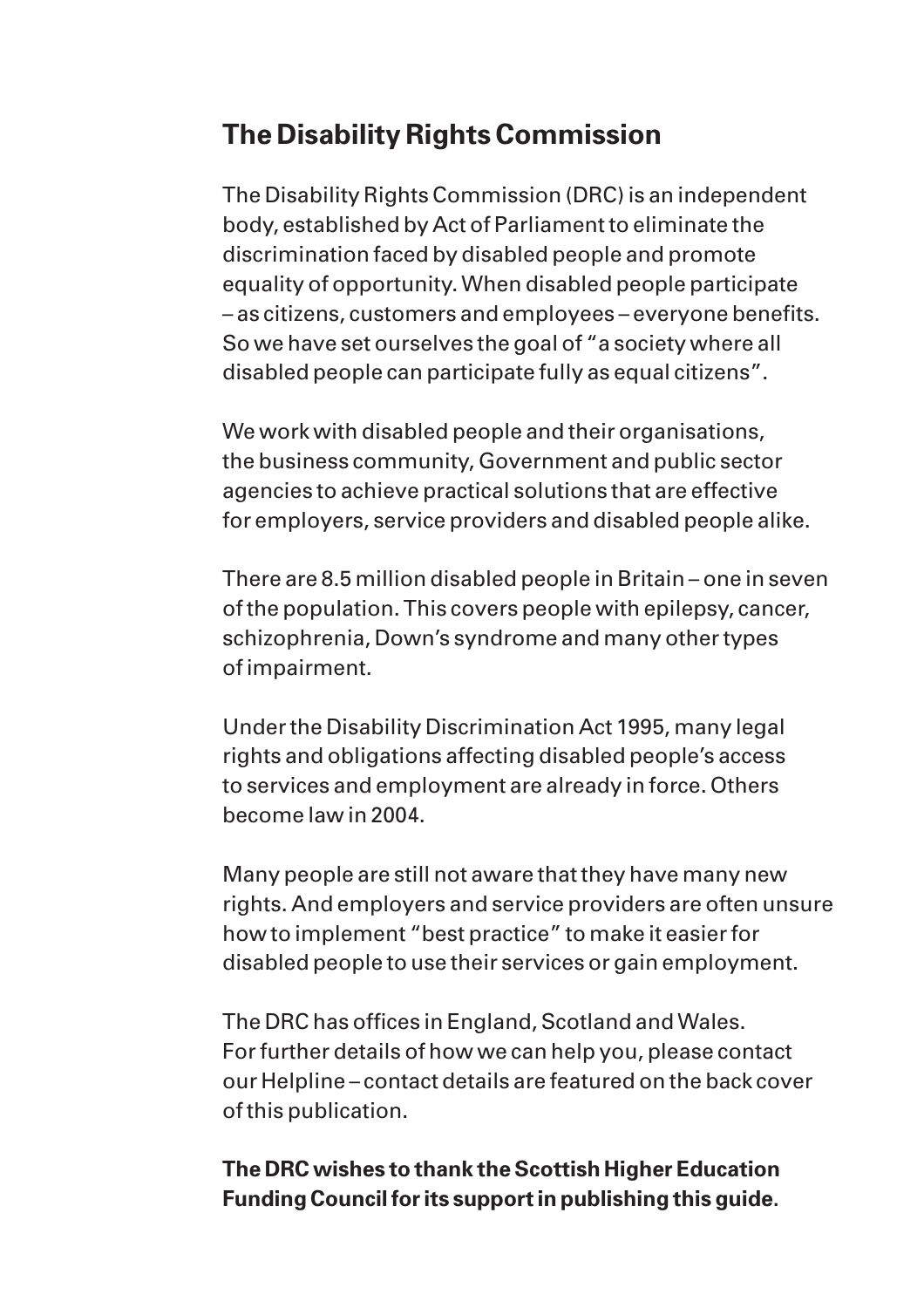# **The Disability Rights Commission**

The Disability Rights Commission (DRC) is an independent body, established by Act of Parliament to eliminate the discrimination faced by disabled people and promote equality of opportunity. When disabled people participate – as citizens, customers and employees – everyone benefits. So we have set ourselves the goal of "a society where all disabled people can participate fully as equal citizens".

We work with disabled people and their organisations, the business community, Government and public sector agencies to achieve practical solutions that are effective for employers, service providers and disabled people alike.

There are 8.5 million disabled people in Britain – one in seven of the population. This covers people with epilepsy, cancer, schizophrenia, Down's syndrome and many other types of impairment.

Under the Disability Discrimination Act 1995, many legal rights and obligations affecting disabled people's access to services and employment are already in force. Others become law in 2004.

Many people are still not aware that they have many new rights. And employers and service providers are often unsure how to implement "best practice" to make it easier for disabled people to use their services or gain employment.

The DRC has offices in England, Scotland and Wales. For further details of how we can help you, please contact our Helpline – contact details are featured on the back cover of this publication.

#### **The DRC wishes to thank the Scottish Higher Education Funding Council for its support in publishing this guide.**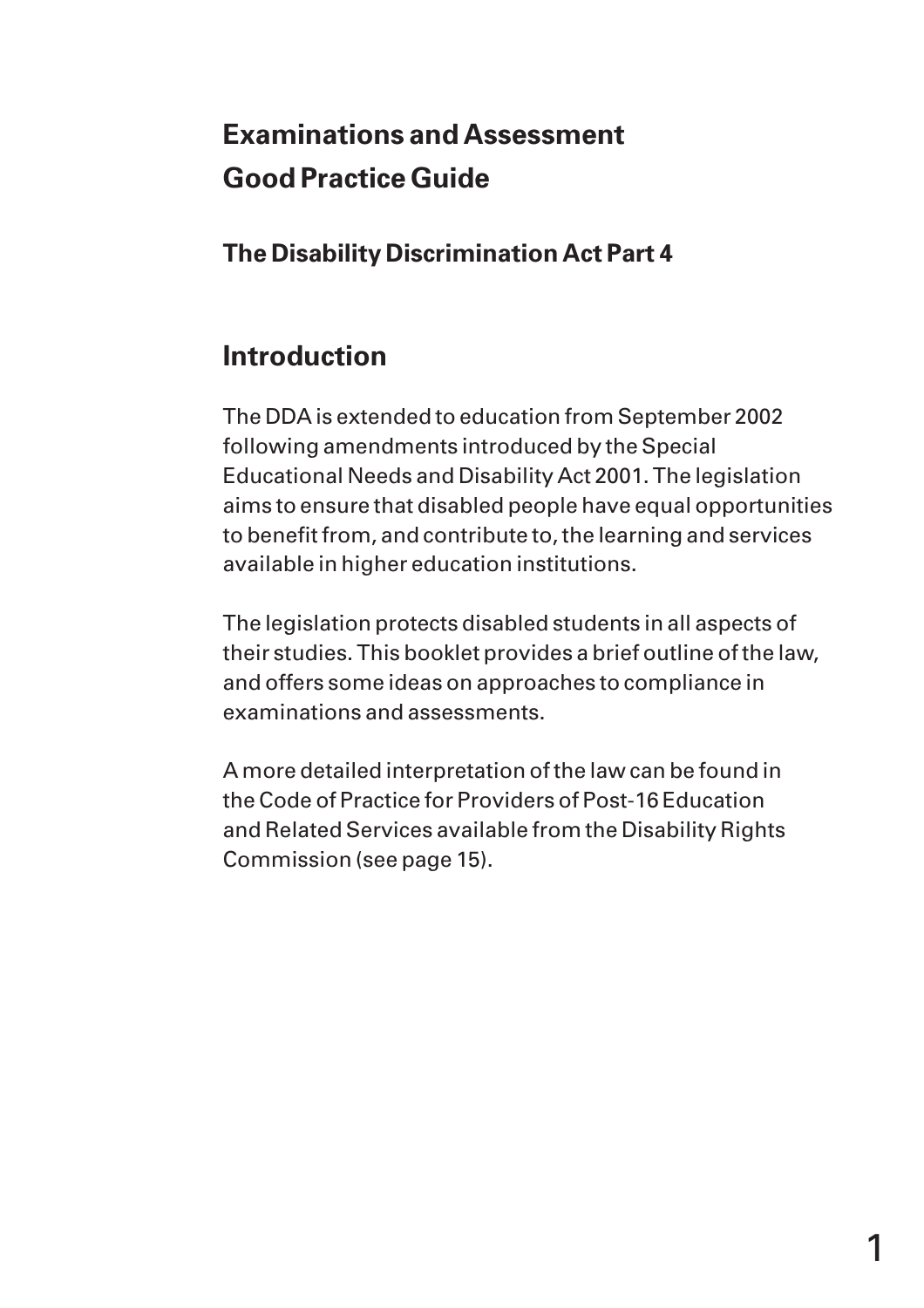# **Examinations and Assessment Good Practice Guide**

**The Disability Discrimination Act Part 4**

# **Introduction**

The DDA is extended to education from September 2002 following amendments introduced by the Special Educational Needs and Disability Act 2001. The legislation aims to ensure that disabled people have equal opportunities to benefit from, and contribute to, the learning and services available in higher education institutions.

The legislation protects disabled students in all aspects of their studies. This booklet provides a brief outline of the law, and offers some ideas on approaches to compliance in examinations and assessments.

A more detailed interpretation of the law can be found in the Code of Practice for Providers of Post-16 Education and Related Services available from the Disability Rights Commission (see page 15).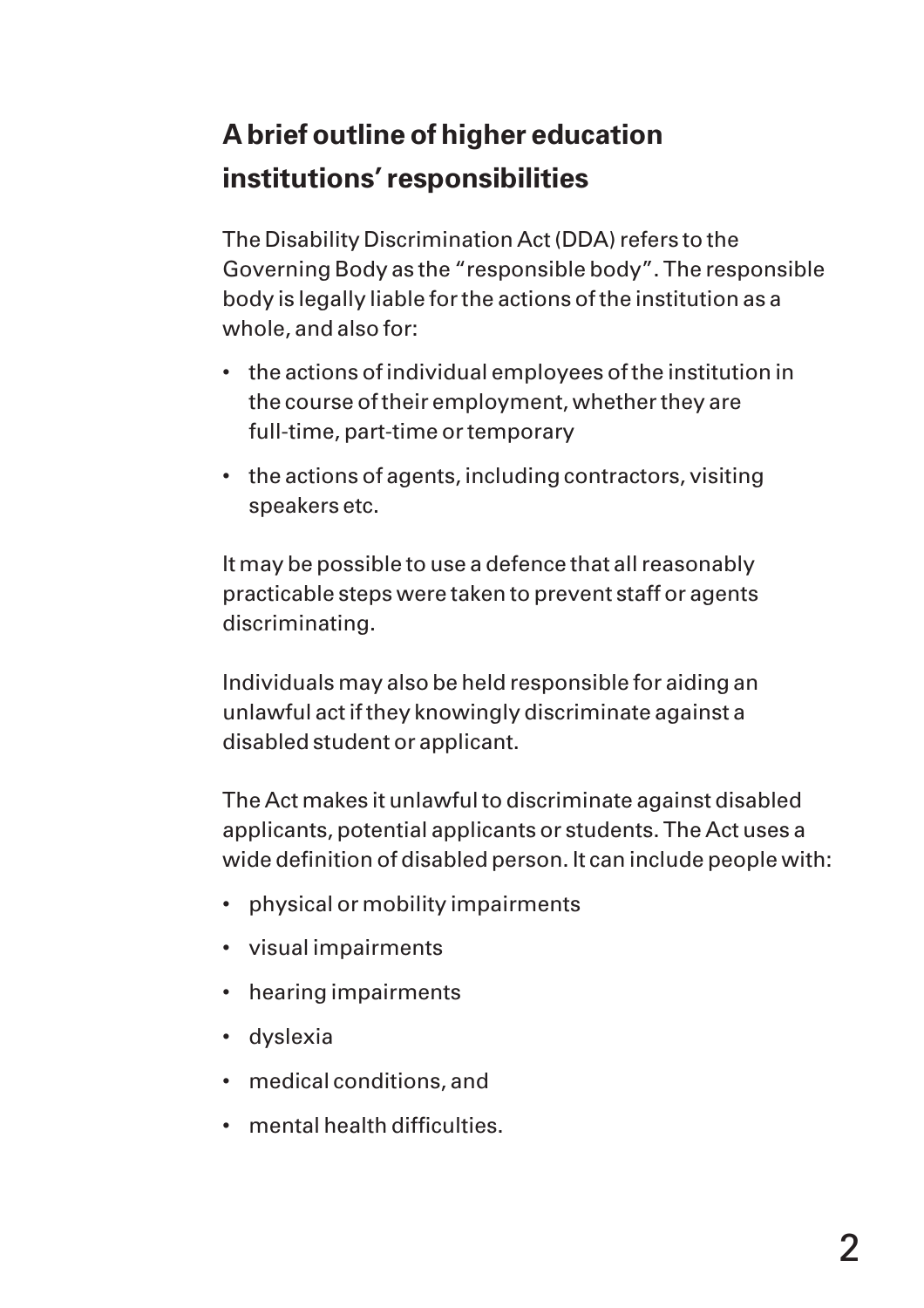# **A brief outline of higher education institutions' responsibilities**

The Disability Discrimination Act (DDA) refers to the Governing Body as the "responsible body". The responsible body is legally liable for the actions of the institution as a whole, and also for:

- the actions of individual employees of the institution in the course of their employment, whether they are full-time, part-time or temporary
- the actions of agents, including contractors, visiting speakers etc.

It may be possible to use a defence that all reasonably practicable steps were taken to prevent staff or agents discriminating.

Individuals may also be held responsible for aiding an unlawful act if they knowingly discriminate against a disabled student or applicant.

The Act makes it unlawful to discriminate against disabled applicants, potential applicants or students. The Act uses a wide definition of disabled person. It can include people with:

- physical or mobility impairments
- visual impairments
- hearing impairments
- dyslexia
- medical conditions, and
- mental health difficulties.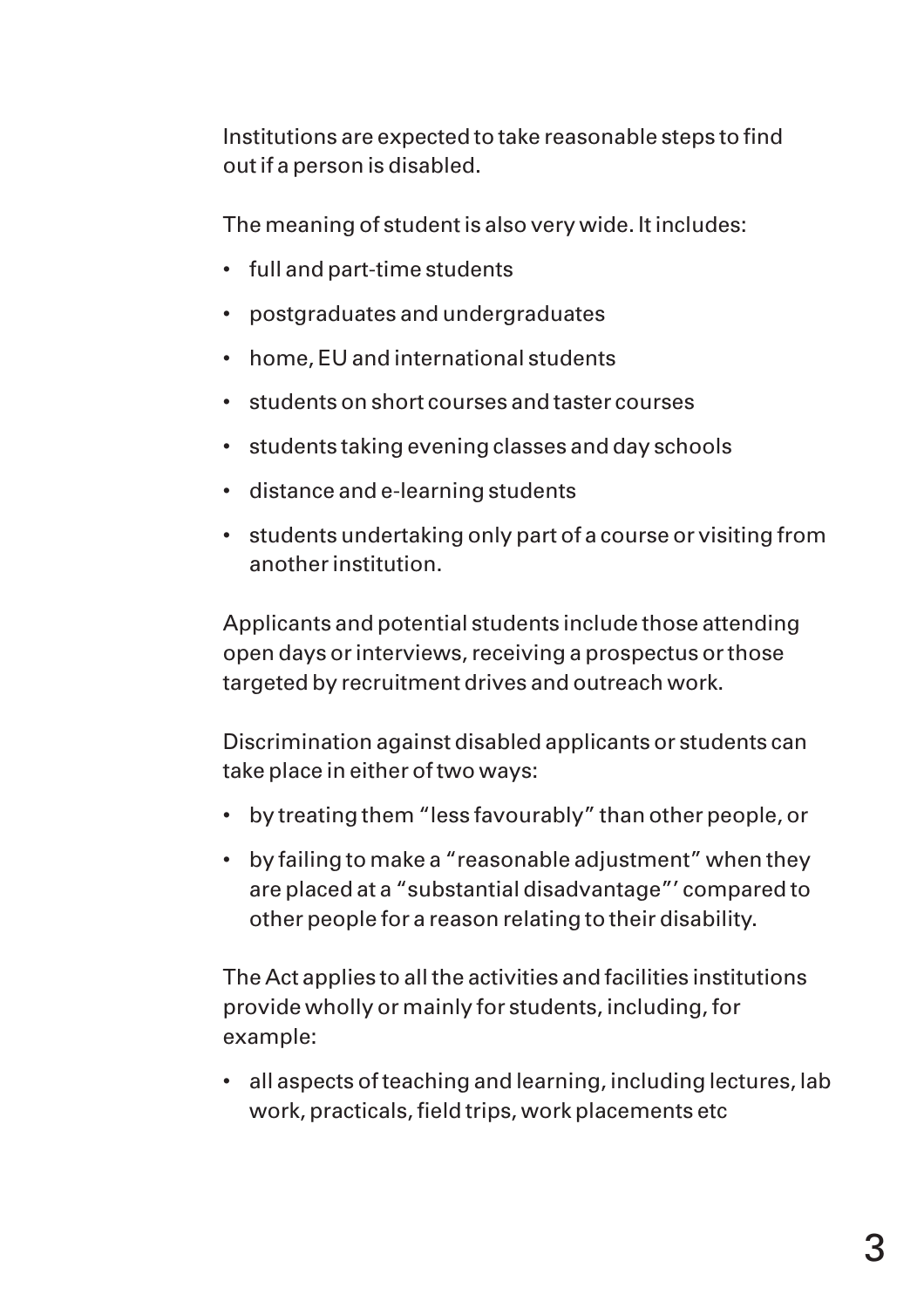Institutions are expected to take reasonable steps to find out if a person is disabled.

The meaning of student is also very wide. It includes:

- full and part-time students
- postgraduates and undergraduates
- home, EU and international students
- students on short courses and taster courses
- students taking evening classes and day schools
- distance and e-learning students
- students undertaking only part of a course or visiting from another institution.

Applicants and potential students include those attending open days or interviews, receiving a prospectus or those targeted by recruitment drives and outreach work.

Discrimination against disabled applicants or students can take place in either of two ways:

- by treating them "less favourably" than other people, or
- by failing to make a "reasonable adjustment" when they are placed at a "substantial disadvantage"' compared to other people for a reason relating to their disability.

The Act applies to all the activities and facilities institutions provide wholly or mainly for students, including, for example:

• all aspects of teaching and learning, including lectures, lab work, practicals, field trips, work placements etc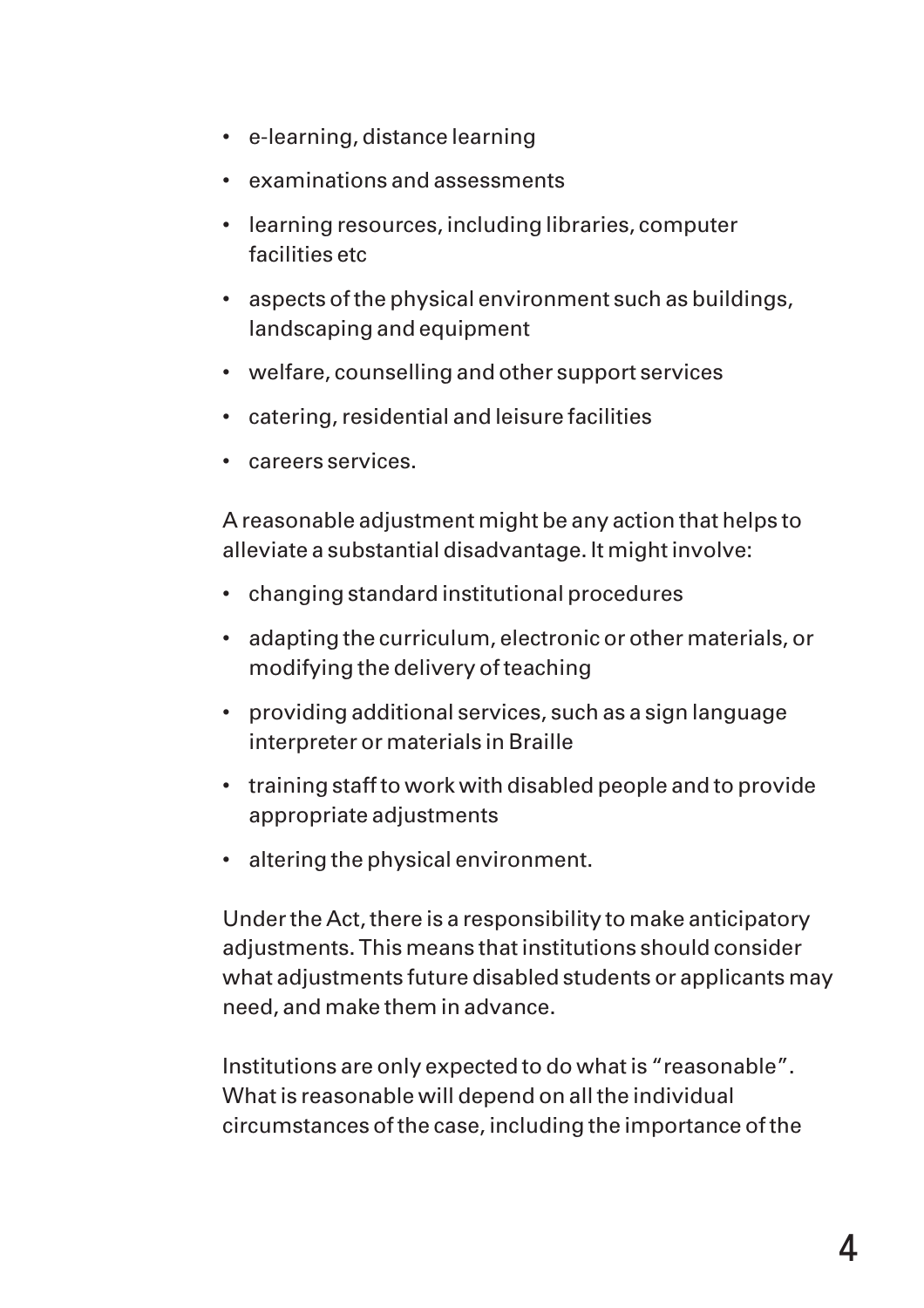- e-learning, distance learning
- examinations and assessments
- learning resources, including libraries, computer facilities etc
- aspects of the physical environment such as buildings, landscaping and equipment
- welfare, counselling and other support services
- catering, residential and leisure facilities
- careers services.

A reasonable adjustment might be any action that helps to alleviate a substantial disadvantage. It might involve:

- changing standard institutional procedures
- adapting the curriculum, electronic or other materials, or modifying the delivery of teaching
- providing additional services, such as a sign language interpreter or materials in Braille
- training staff to work with disabled people and to provide appropriate adjustments
- altering the physical environment.

Under the Act, there is a responsibility to make anticipatory adjustments. This means that institutions should consider what adjustments future disabled students or applicants may need, and make them in advance.

Institutions are only expected to do what is "reasonable". What is reasonable will depend on all the individual circumstances of the case, including the importance of the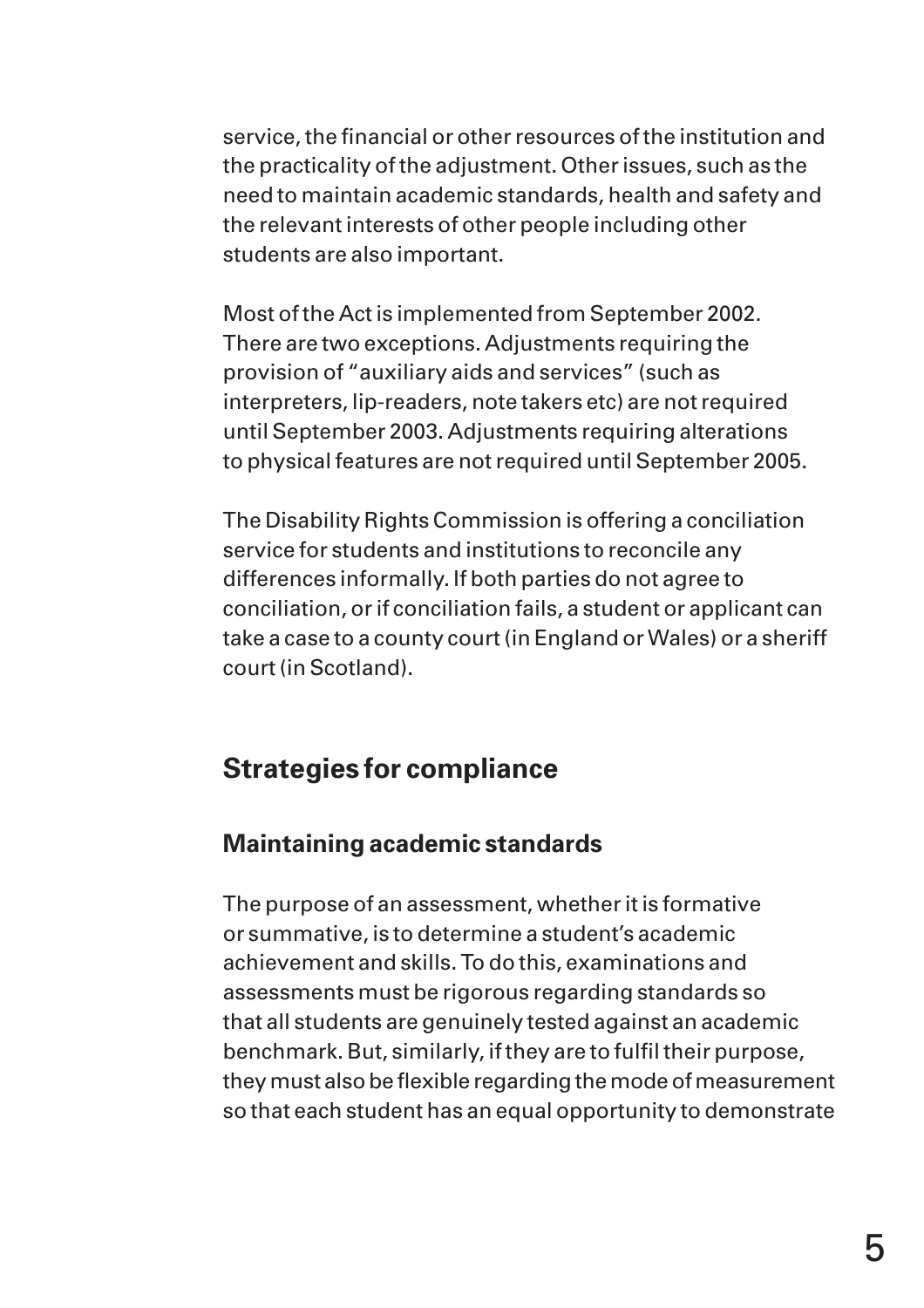service, the financial or other resources of the institution and the practicality of the adjustment. Other issues, such as the need to maintain academic standards, health and safety and the relevant interests of other people including other students are also important.

Most of the Act is implemented from September 2002. There are two exceptions. Adjustments requiring the provision of "auxiliary aids and services" (such as interpreters, lip-readers, note takers etc) are not required until September 2003. Adjustments requiring alterations to physical features are not required until September 2005.

The Disability Rights Commission is offering a conciliation service for students and institutions to reconcile any differences informally. If both parties do not agree to conciliation, or if conciliation fails, a student or applicant can take a case to a county court (in England or Wales) or a sheriff court (in Scotland).

# **Strategies for compliance**

#### **Maintaining academic standards**

The purpose of an assessment, whether it is formative or summative, is to determine a student's academic achievement and skills. To do this, examinations and assessments must be rigorous regarding standards so that all students are genuinely tested against an academic benchmark. But, similarly, if they are to fulfil their purpose, they must also be flexible regarding the mode of measurement so that each student has an equal opportunity to demonstrate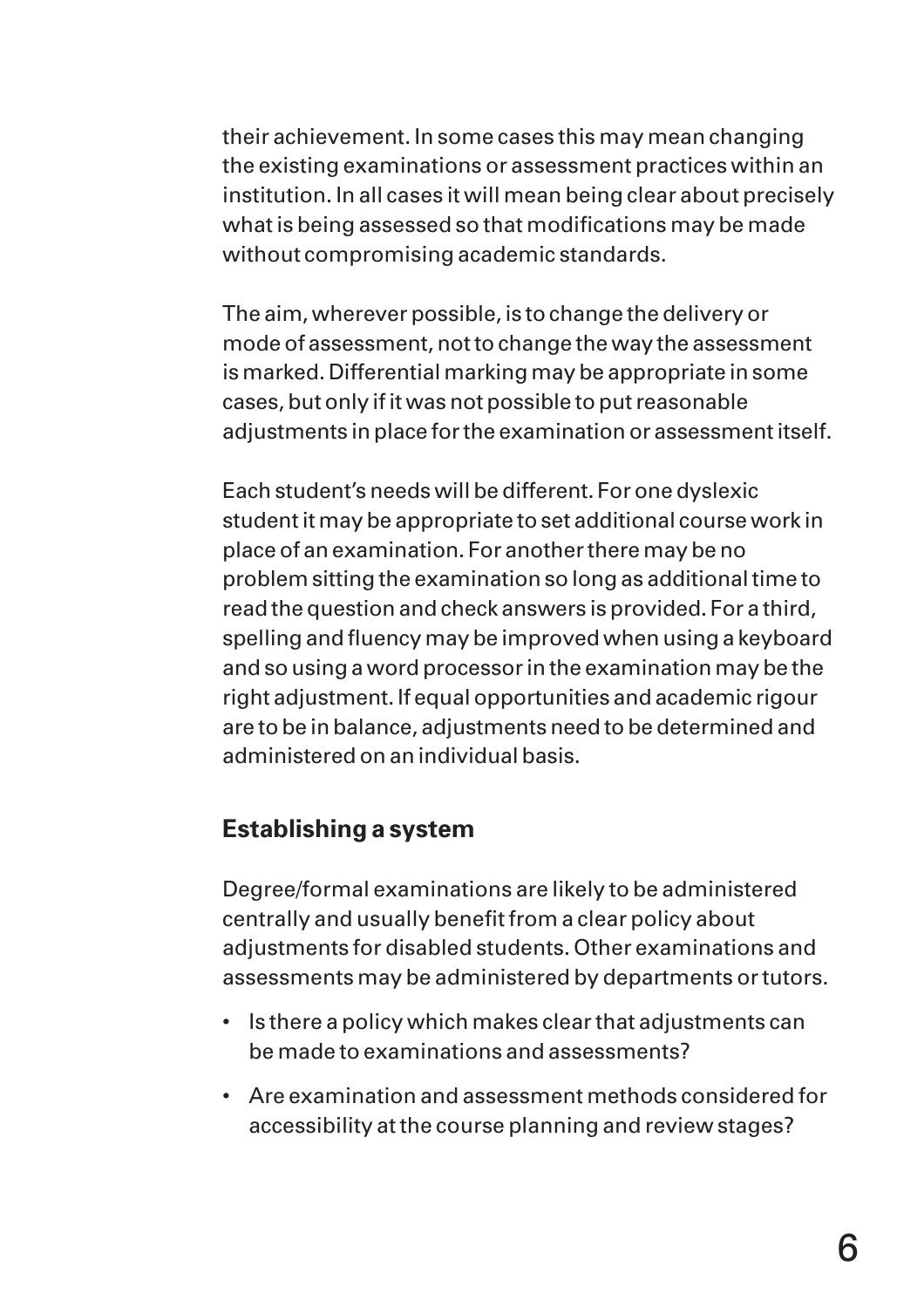their achievement. In some cases this may mean changing the existing examinations or assessment practices within an institution. In all cases it will mean being clear about precisely what is being assessed so that modifications may be made without compromising academic standards.

The aim, wherever possible, is to change the delivery or mode of assessment, not to change the way the assessment is marked. Differential marking may be appropriate in some cases, but only if it was not possible to put reasonable adjustments in place for the examination or assessment itself.

Each student's needs will be different. For one dyslexic student it may be appropriate to set additional course work in place of an examination. For another there may be no problem sitting the examination so long as additional time to read the question and check answers is provided. For a third, spelling and fluency may be improved when using a keyboard and so using a word processor in the examination may be the right adjustment. If equal opportunities and academic rigour are to be in balance, adjustments need to be determined and administered on an individual basis.

#### **Establishing a system**

Degree/formal examinations are likely to be administered centrally and usually benefit from a clear policy about adjustments for disabled students. Other examinations and assessments may be administered by departments or tutors.

- Is there a policy which makes clear that adjustments can be made to examinations and assessments?
- Are examination and assessment methods considered for accessibility at the course planning and review stages?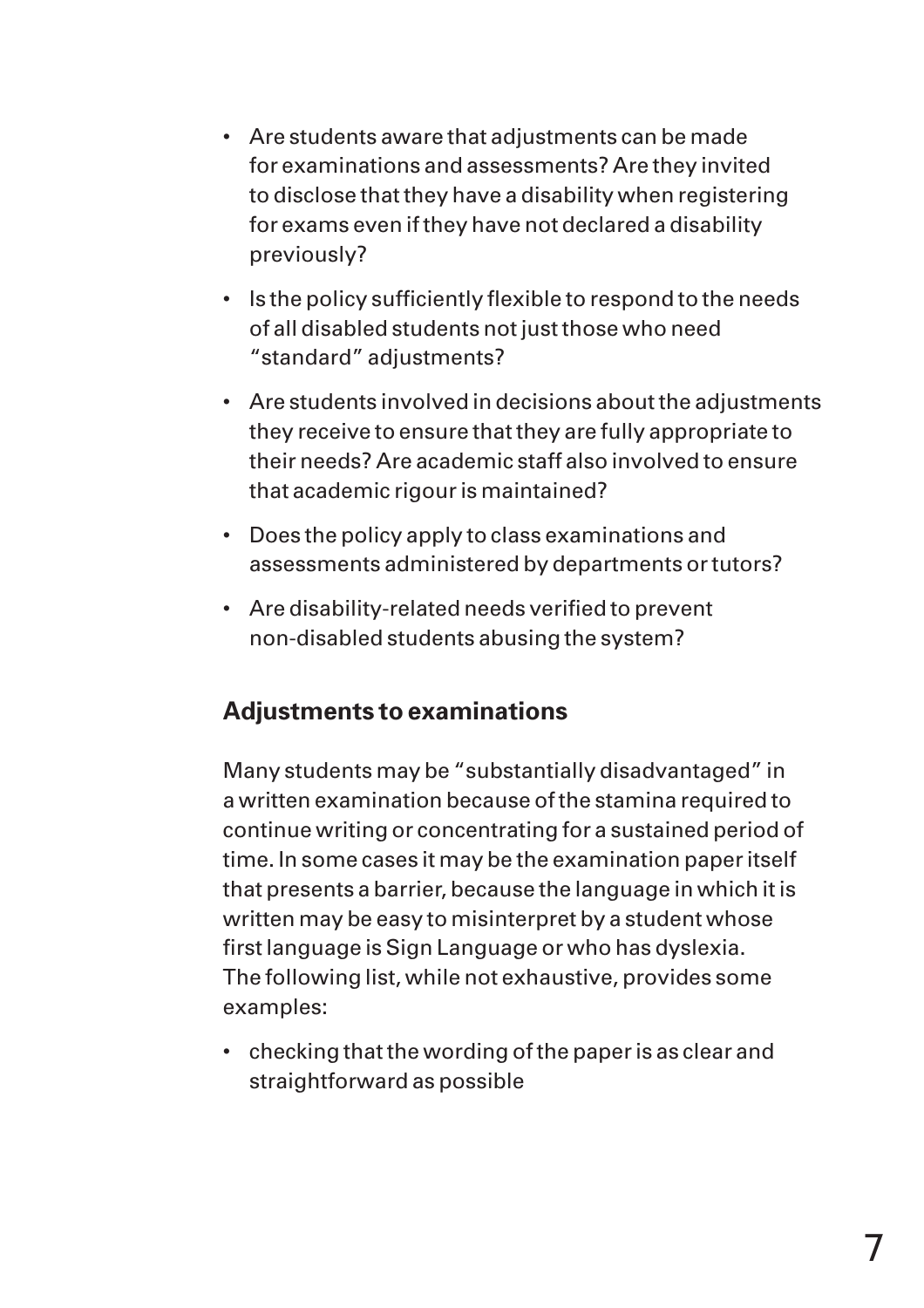- Are students aware that adjustments can be made for examinations and assessments? Are they invited to disclose that they have a disability when registering for exams even if they have not declared a disability previously?
- Is the policy sufficiently flexible to respond to the needs of all disabled students not just those who need "standard" adjustments?
- Are students involved in decisions about the adjustments they receive to ensure that they are fully appropriate to their needs? Are academic staff also involved to ensure that academic rigour is maintained?
- Does the policy apply to class examinations and assessments administered by departments or tutors?
- Are disability-related needs verified to prevent non-disabled students abusing the system?

### **Adjustments to examinations**

Many students may be "substantially disadvantaged" in a written examination because of the stamina required to continue writing or concentrating for a sustained period of time. In some cases it may be the examination paper itself that presents a barrier, because the language in which it is written may be easy to misinterpret by a student whose first language is Sign Language or who has dyslexia. The following list, while not exhaustive, provides some examples:

• checking that the wording of the paper is as clear and straightforward as possible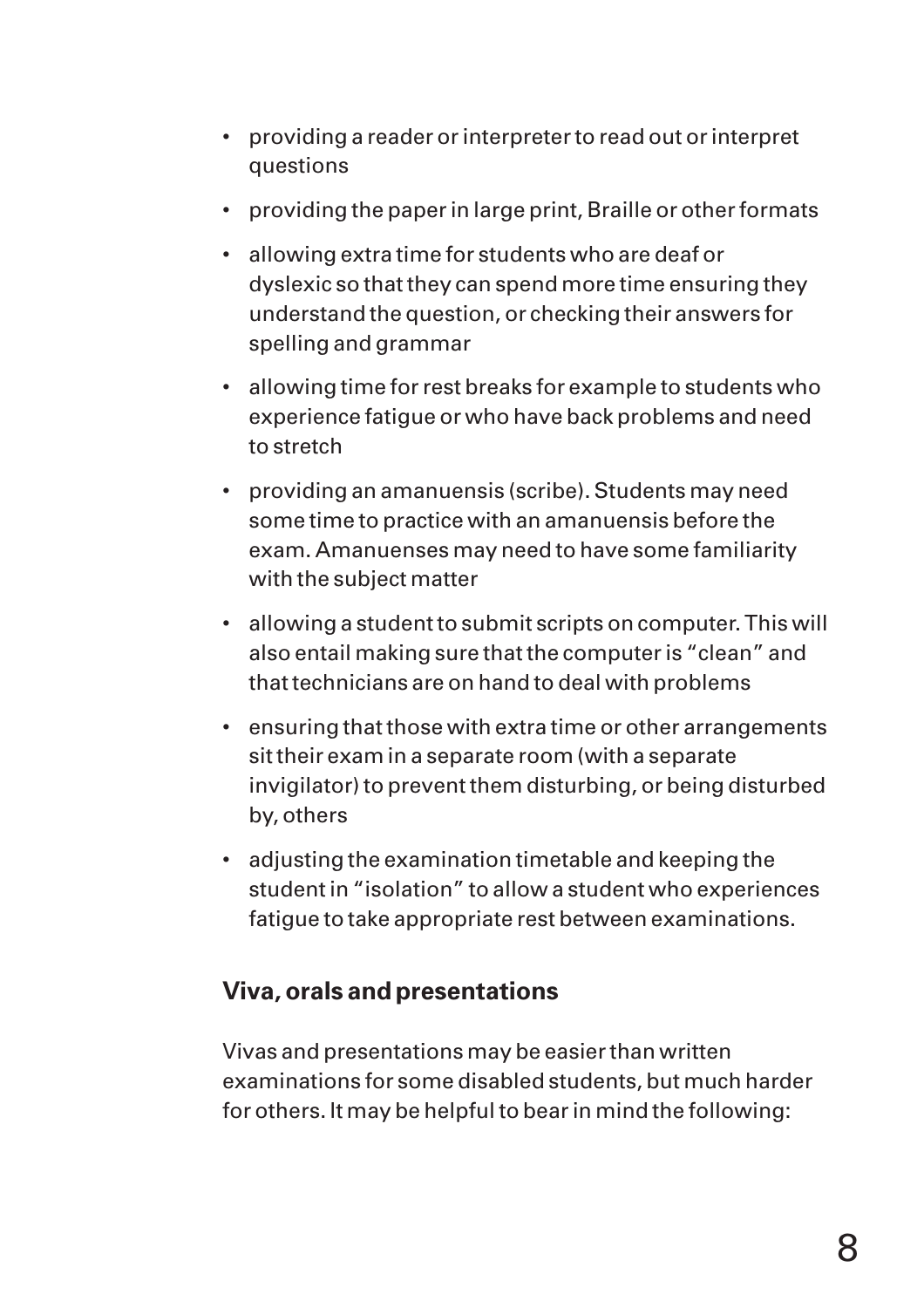- providing a reader or interpreter to read out or interpret questions
- providing the paper in large print, Braille or other formats
- allowing extra time for students who are deaf or dyslexic so that they can spend more time ensuring they understand the question, or checking their answers for spelling and grammar
- allowing time for rest breaks for example to students who experience fatigue or who have back problems and need to stretch
- providing an amanuensis (scribe). Students may need some time to practice with an amanuensis before the exam. Amanuenses may need to have some familiarity with the subject matter
- allowing a student to submit scripts on computer. This will also entail making sure that the computer is "clean" and that technicians are on hand to deal with problems
- ensuring that those with extra time or other arrangements sit their exam in a separate room (with a separate invigilator) to prevent them disturbing, or being disturbed by, others
- adjusting the examination timetable and keeping the student in "isolation" to allow a student who experiences fatigue to take appropriate rest between examinations.

### **Viva, orals and presentations**

Vivas and presentations may be easier than written examinations for some disabled students, but much harder for others. It may be helpful to bear in mind the following: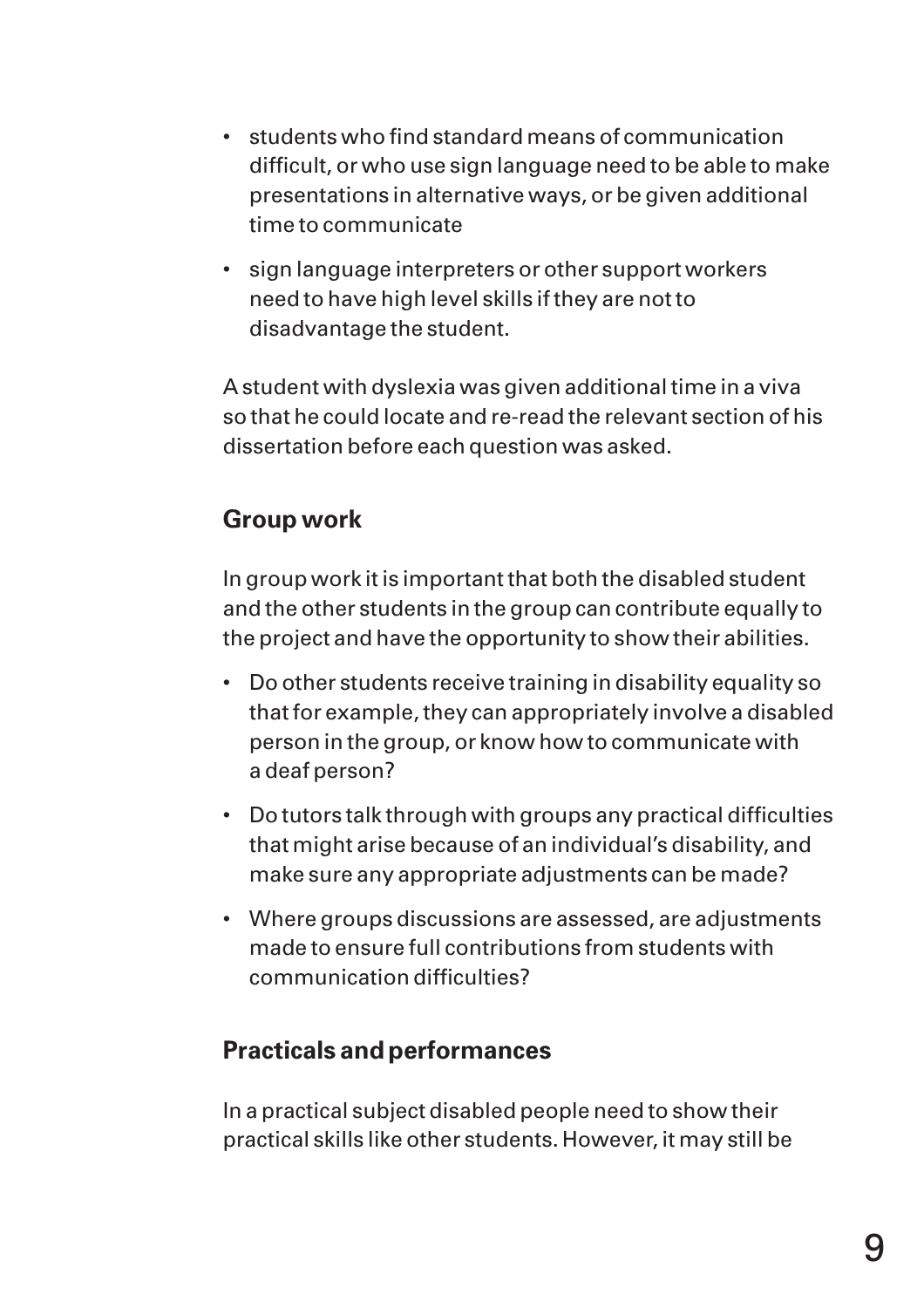- students who find standard means of communication difficult, or who use sign language need to be able to make presentations in alternative ways, or be given additional time to communicate
- sign language interpreters or other support workers need to have high level skills if they are not to disadvantage the student.

A student with dyslexia was given additional time in a viva so that he could locate and re-read the relevant section of his dissertation before each question was asked.

# **Group work**

In group work it is important that both the disabled student and the other students in the group can contribute equally to the project and have the opportunity to show their abilities.

- Do other students receive training in disability equality so that for example, they can appropriately involve a disabled person in the group, or know how to communicate with a deaf person?
- Do tutors talk through with groups any practical difficulties that might arise because of an individual's disability, and make sure any appropriate adjustments can be made?
- Where groups discussions are assessed, are adjustments made to ensure full contributions from students with communication difficulties?

# **Practicals and performances**

In a practical subject disabled people need to show their practical skills like other students. However, it may still be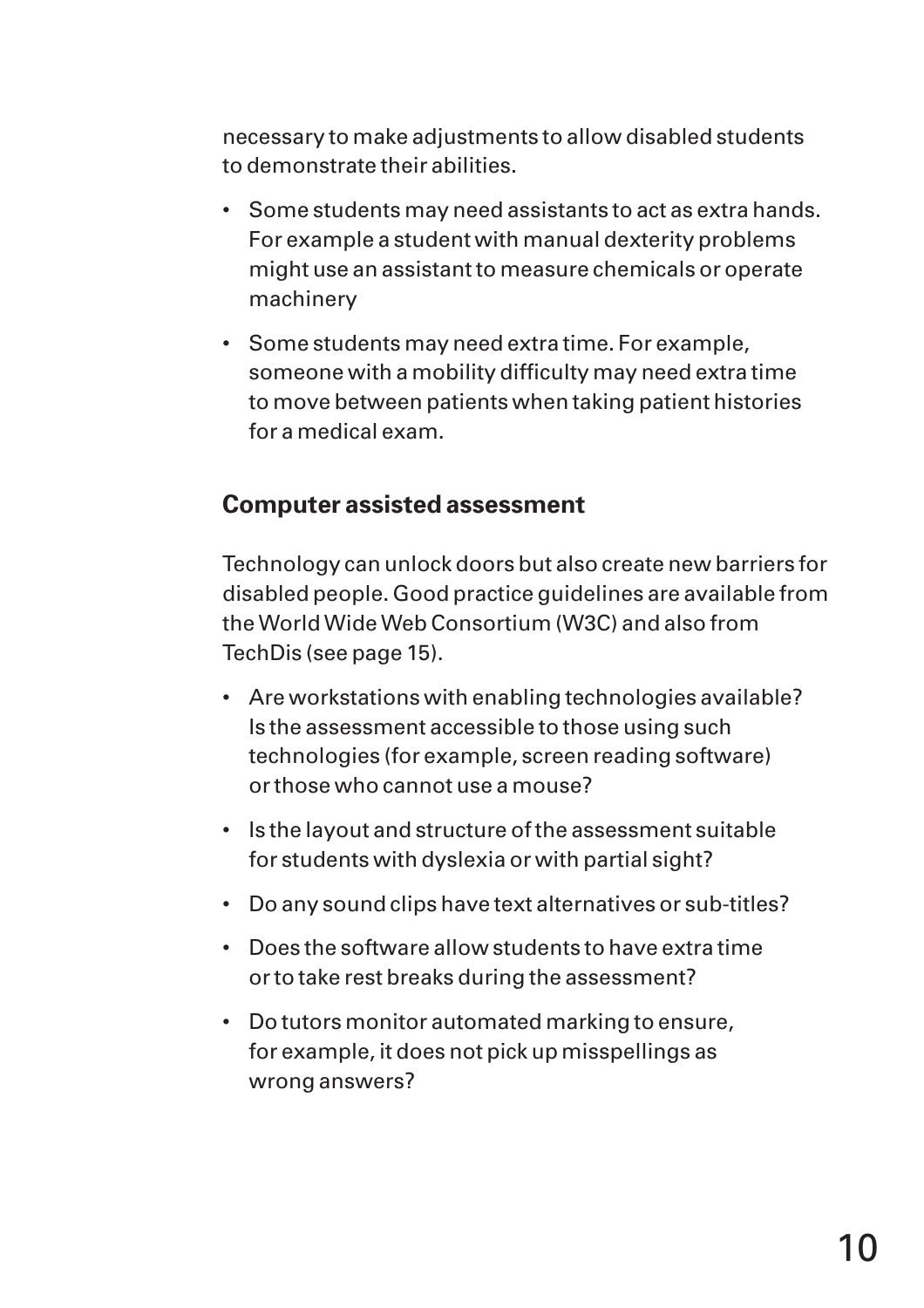necessary to make adjustments to allow disabled students to demonstrate their abilities.

- Some students may need assistants to act as extra hands. For example a student with manual dexterity problems might use an assistant to measure chemicals or operate machinery
- Some students may need extra time. For example, someone with a mobility difficulty may need extra time to move between patients when taking patient histories for a medical exam.

#### **Computer assisted assessment**

Technology can unlock doors but also create new barriers for disabled people. Good practice guidelines are available from the World Wide Web Consortium (W3C) and also from TechDis (see page 15).

- Are workstations with enabling technologies available? Is the assessment accessible to those using such technologies (for example, screen reading software) or those who cannot use a mouse?
- Is the layout and structure of the assessment suitable for students with dyslexia or with partial sight?
- Do any sound clips have text alternatives or sub-titles?
- Does the software allow students to have extra time or to take rest breaks during the assessment?
- Do tutors monitor automated marking to ensure, for example, it does not pick up misspellings as wrong answers?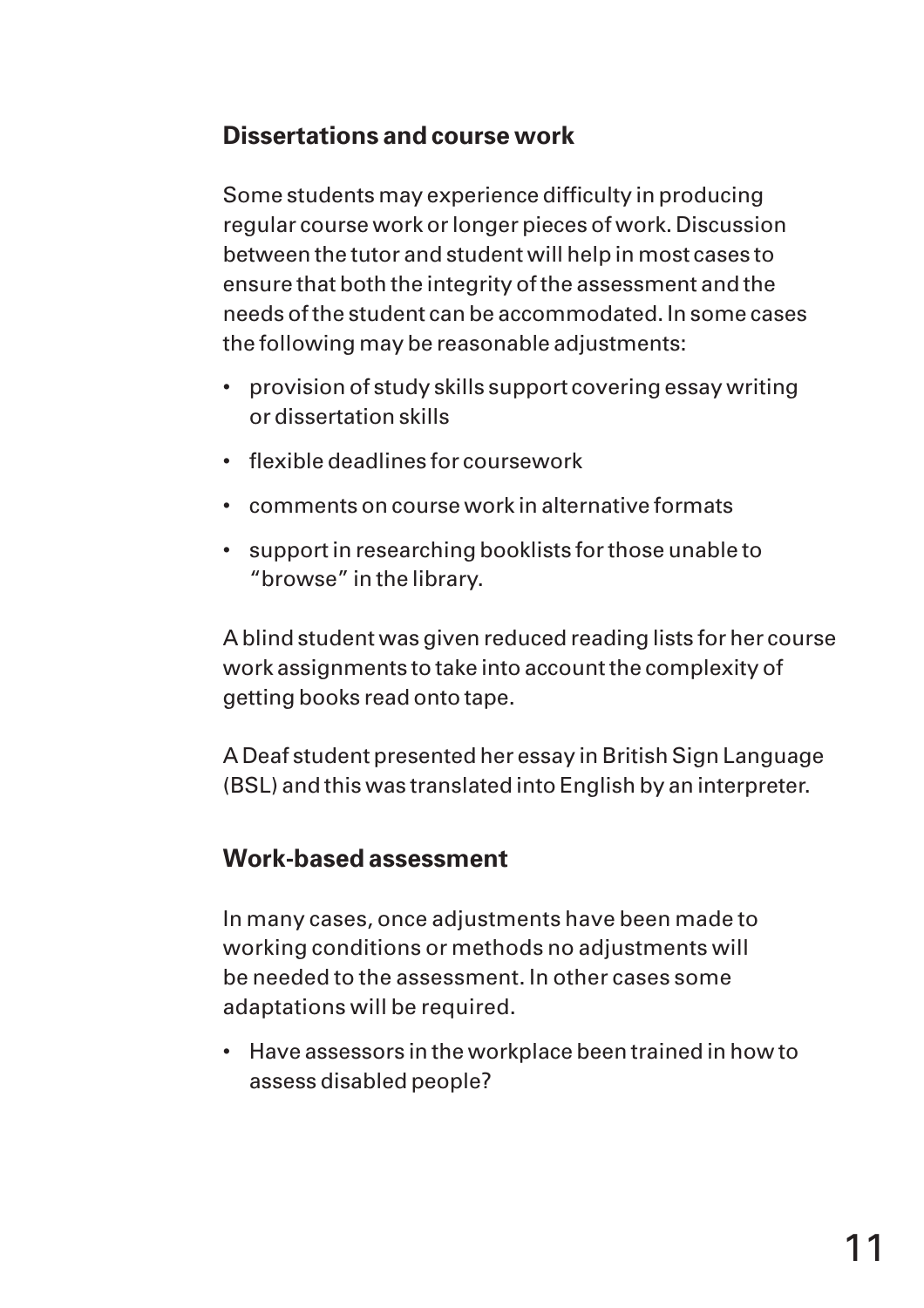# **Dissertations and course work**

Some students may experience difficulty in producing regular course work or longer pieces of work. Discussion between the tutor and student will help in most cases to ensure that both the integrity of the assessment and the needs of the student can be accommodated. In some cases the following may be reasonable adjustments:

- provision of study skills support covering essay writing or dissertation skills
- flexible deadlines for coursework
- comments on course work in alternative formats
- support in researching booklists for those unable to "browse" in the library.

A blind student was given reduced reading lists for her course work assignments to take into account the complexity of getting books read onto tape.

A Deaf student presented her essay in British Sign Language (BSL) and this was translated into English by an interpreter.

# **Work-based assessment**

In many cases, once adjustments have been made to working conditions or methods no adjustments will be needed to the assessment. In other cases some adaptations will be required.

• Have assessors in the workplace been trained in how to assess disabled people?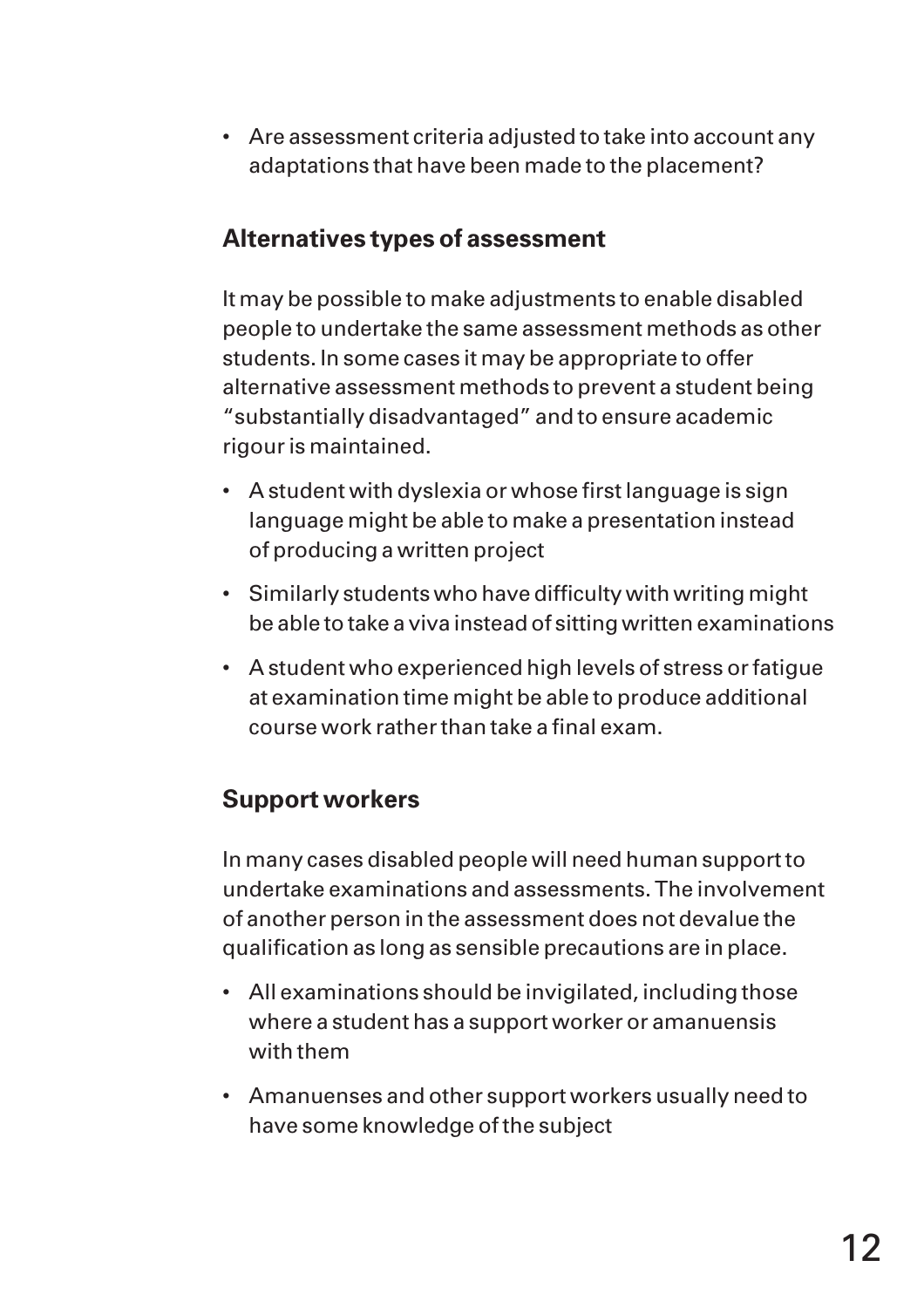• Are assessment criteria adjusted to take into account any adaptations that have been made to the placement?

## **Alternatives types of assessment**

It may be possible to make adjustments to enable disabled people to undertake the same assessment methods as other students. In some cases it may be appropriate to offer alternative assessment methods to prevent a student being "substantially disadvantaged" and to ensure academic rigour is maintained.

- A student with dyslexia or whose first language is sign language might be able to make a presentation instead of producing a written project
- Similarly students who have difficulty with writing might be able to take a viva instead of sitting written examinations
- A student who experienced high levels of stress or fatigue at examination time might be able to produce additional course work rather than take a final exam.

# **Support workers**

In many cases disabled people will need human support to undertake examinations and assessments. The involvement of another person in the assessment does not devalue the qualification as long as sensible precautions are in place.

- All examinations should be invigilated, including those where a student has a support worker or amanuensis with them
- Amanuenses and other support workers usually need to have some knowledge of the subject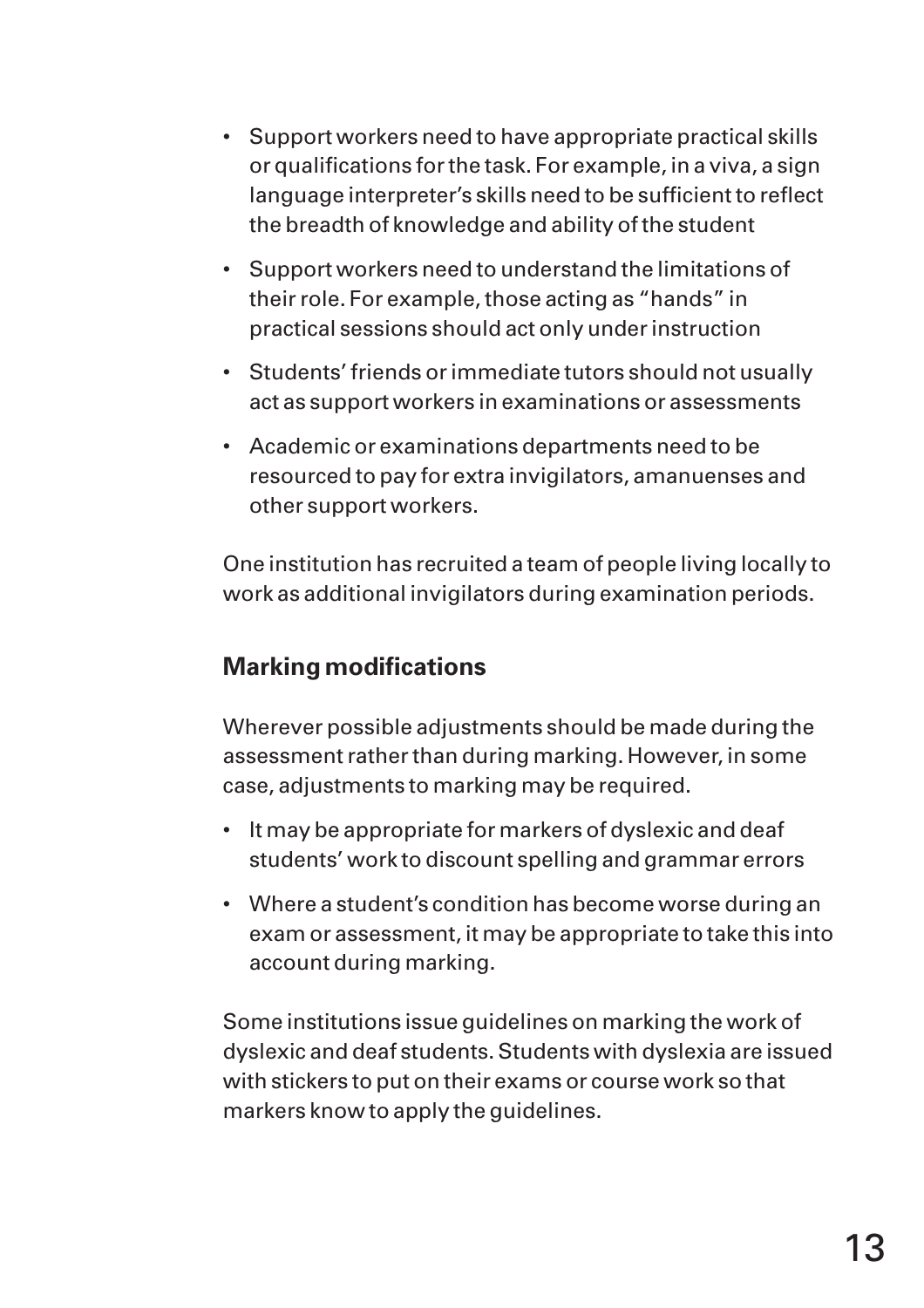- Support workers need to have appropriate practical skills or qualifications for the task. For example, in a viva, a sign language interpreter's skills need to be sufficient to reflect the breadth of knowledge and ability of the student
- Support workers need to understand the limitations of their role. For example, those acting as "hands" in practical sessions should act only under instruction
- Students' friends or immediate tutors should not usually act as support workers in examinations or assessments
- Academic or examinations departments need to be resourced to pay for extra invigilators, amanuenses and other support workers.

One institution has recruited a team of people living locally to work as additional invigilators during examination periods.

# **Marking modifications**

Wherever possible adjustments should be made during the assessment rather than during marking. However, in some case, adjustments to marking may be required.

- It may be appropriate for markers of dyslexic and deaf students' work to discount spelling and grammar errors
- Where a student's condition has become worse during an exam or assessment, it may be appropriate to take this into account during marking.

Some institutions issue guidelines on marking the work of dyslexic and deaf students. Students with dyslexia are issued with stickers to put on their exams or course work so that markers know to apply the guidelines.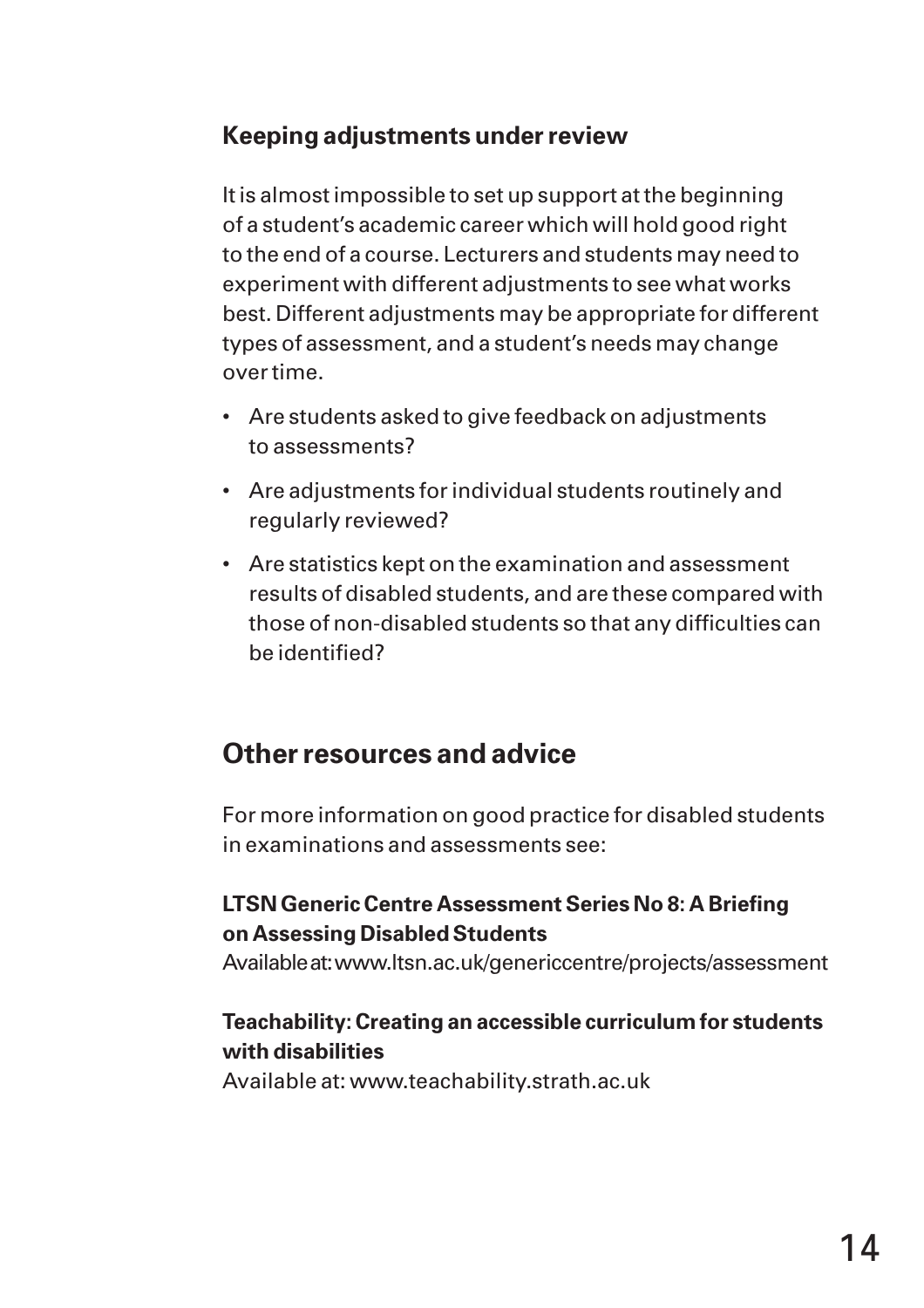# **Keeping adjustments under review**

It is almost impossible to set up support at the beginning of a student's academic career which will hold good right to the end of a course. Lecturers and students may need to experiment with different adjustments to see what works best. Different adjustments may be appropriate for different types of assessment, and a student's needs may change over time.

- Are students asked to give feedback on adjustments to assessments?
- Are adjustments for individual students routinely and regularly reviewed?
- Are statistics kept on the examination and assessment results of disabled students, and are these compared with those of non-disabled students so that any difficulties can be identified?

# **Other resources and advice**

For more information on good practice for disabled students in examinations and assessments see:

#### **LTSN Generic Centre Assessment Series No 8: A Briefing on Assessing Disabled Students**

Available at: www.ltsn.ac.uk/genericcentre/projects/assessment

#### **Teachability: Creating an accessible curriculum for students with disabilities**

Available at: www.teachability.strath.ac.uk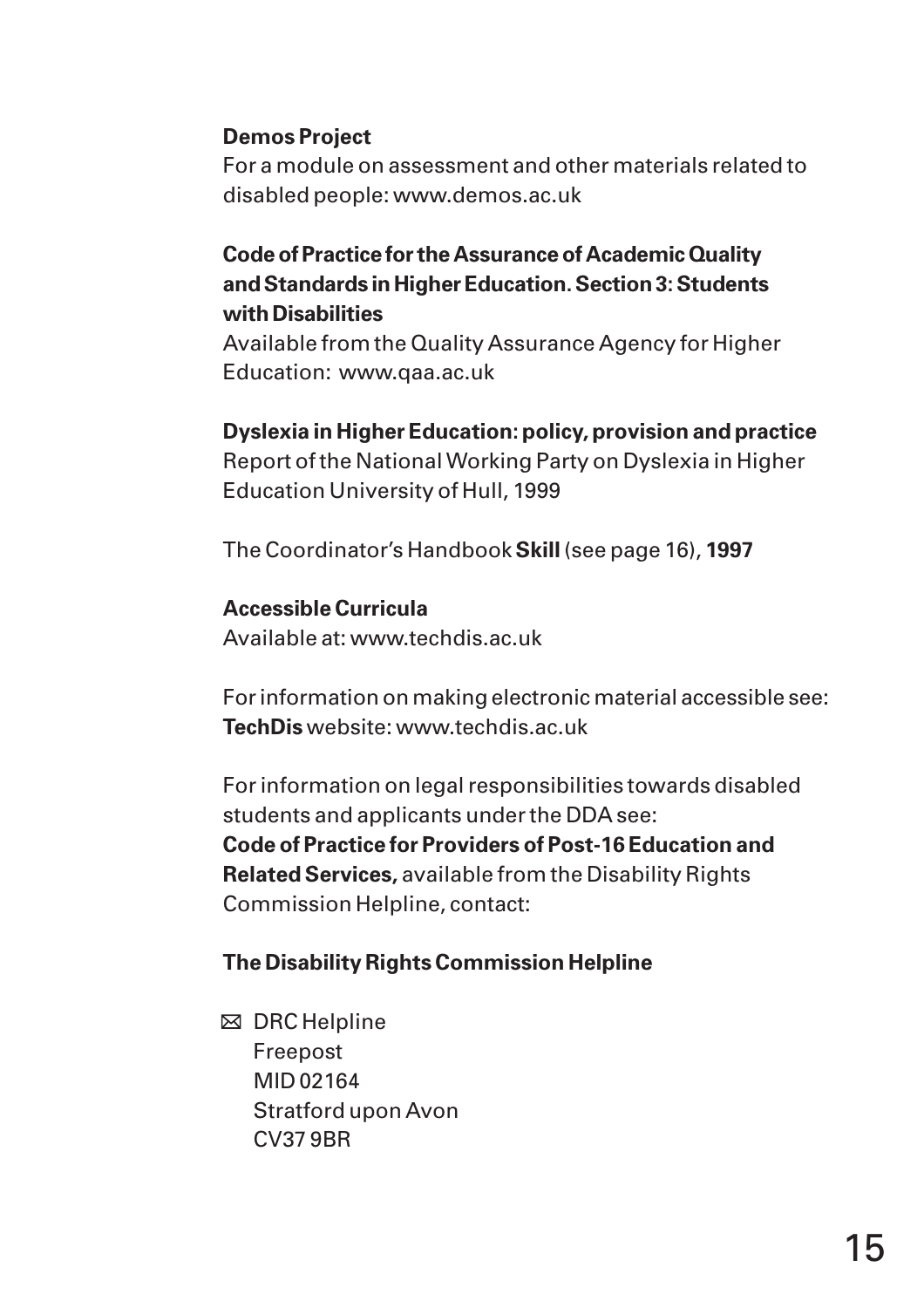#### **Demos Project**

For a module on assessment and other materials related to disabled people: www.demos.ac.uk

#### **Code of Practice for the Assurance of Academic Quality and Standards in Higher Education. Section 3: Students with Disabilities**

Available from the Quality Assurance Agency for Higher Education: www.qaa.ac.uk

#### **Dyslexia in Higher Education: policy, provision and practice**

Report of the National Working Party on Dyslexia in Higher Education University of Hull, 1999

The Coordinator's Handbook **Skill** (see page 16), **1997**

#### **Accessible Curricula**

Available at: www.techdis.ac.uk

For information on making electronic material accessible see: **TechDis** website: www.techdis.ac.uk

For information on legal responsibilities towards disabled students and applicants under the DDA see: **Code of Practice for Providers of Post-16 Education and Related Services,** available from the Disability Rights Commission Helpline, contact:

#### **The Disability Rights Commission Helpline**

 $\boxtimes$  DRC Helpline Freepost MID 02164 Stratford upon Avon CV37 9BR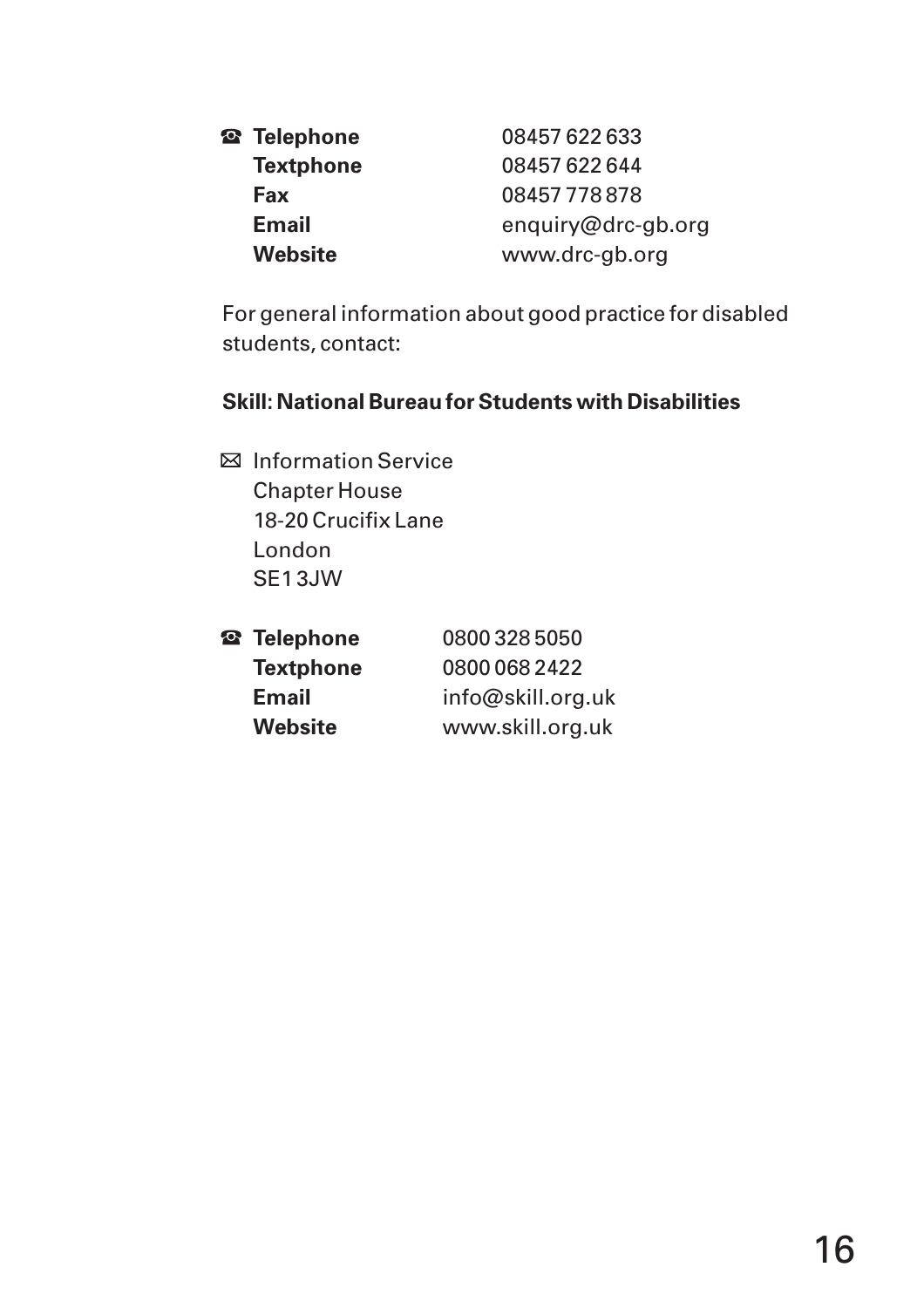| <sup>2</sup> Telephone | 08457 622 633      |
|------------------------|--------------------|
| <b>Textphone</b>       | 08457 622 644      |
| Fax                    | 08457778878        |
| <b>Email</b>           | enquiry@drc-gb.org |
| <b>Website</b>         | www.drc-gb.org     |

For general information about good practice for disabled students, contact:

#### **Skill: National Bureau for Students with Disabilities**

**E** Information Service Chapter House 18-20 Crucifix Lane London SE1 3JW

| <sup>2</sup> 3 Telephone | 08003285050       |
|--------------------------|-------------------|
| <b>Textphone</b>         | 0800 068 2422     |
| <b>Email</b>             | info@skill.org.uk |
| <b>Website</b>           | www.skill.org.uk  |